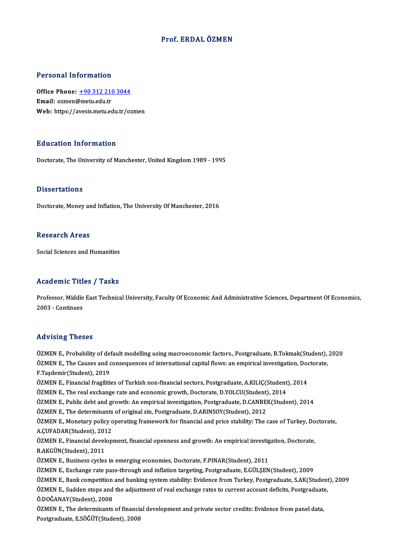#### Prof. ERDALÖZMEN

#### Personal Information

Personal Information<br>Office Phone: <u>+90 312 210 3044</u><br>Email: ermon@metuedutr Fersonal information<br>Office Phone: <u>+90 312 210</u><br>Email: ozmen@metu.edu.tr Email: ozmen@metu.edu.tr<br>Web: https://a[vesis.metu.edu.tr/o](tel:+90 312 210 3044)zmen

#### Education Information

Doctorate, The University of Manchester, United Kingdom 1989 - 1995

#### **Dissertations**

Doctorate, Money and Inflation, The University Of Manchester, 2016

#### **Research Areas**

Social Sciences and Humanities

#### Academic Titles / Tasks

Academic Titles / Tasks<br>Professor, Middle East Technical University, Faculty Of Economic And Administrative Sciences, Department Of Economics,<br>2003 - Continues Professor, Middle<br>2003 - Continues 2003 - Continues<br>Advising Theses

Advising Theses<br>ÖZMEN E., Probability of default modelling using macroeconomic factors., Postgraduate, B.Tokmak(Student), 2020<br>ÖZMEN E., The Causes and consequences of international capital flavouse empirical investigation TER VISING TRESES<br>ÖZMEN E., Probability of default modelling using macroeconomic factors., Postgraduate, B.Tokmak(Student),<br>ÖZMEN E., The Causes and consequences of international capital flows: an empirical investigation, ÖZMEN E., The Causes and consequences of international capital flows: an empirical investigation, Doctorate, F.Taşdemir(Student), 2019 ÖZMEN E., The Causes and consequences of international capital flows: an empirical investigation, Door<br>F.Taşdemir(Student), 2019<br>ÖZMEN E., Financial fragilities of Turkish non-financial sectors, Postgraduate, A.KILIÇ(Stude F.Taşdemir(Student), 2019<br>ÖZMEN E., Financial fragilities of Turkish non-financial sectors, Postgraduate, A.KILIÇ(Student)<br>ÖZMEN E., The real exchange rate and economic growth, Doctorate, D.YOLCU(Student), 2014<br>ÖZMEN E., P ÖZMEN E., Financial fragilities of Turkish non-financial sectors, Postgraduate, A.KILIÇ(Student), 2014<br>ÖZMEN E., The real exchange rate and economic growth, Doctorate, D.YOLCU(Student), 2014<br>ÖZMEN E., Public debt and growt ÖZMEN E., The real exchange rate and economic growth, Doctorate, D.YOLCU(Student), 2014<br>ÖZMEN E., Public debt and growth: An empirical investigation, Postgraduate, D.CANBEK(Student), 2014<br>ÖZMEN E., The determinants of orig ÖZMEN E., Public debt and growth: An empirical investigation, Postgraduate, D.CANBEK(Student), 2014<br>ÖZMEN E., The determinants of original sin, Postgraduate, D.ARINSOY(Student), 2012<br>ÖZMEN E., Monetary policy operating fra ÖZMEN E., The determinants<br>ÖZMEN E., Monetary policy o<br>A.ÇUFADAR(Student), 2012<br>ÖZMEN E. Einancial davalan ÖZMEN E., Monetary policy operating framework for financial and price stability: The case of Turkey, Do<br>A.ÇUFADAR(Student), 2012<br>ÖZMEN E., Financial development, financial openness and growth: An empirical investigation, D A.ÇUFADAR(Student), 2013<br>ÖZMEN E., Financial devel<br>B.AKGÜN(Student), 2011<br>ÖZMEN E. Pusiness gyske ÖZMEN E., Financial development, financial openness and growth: An empirical investigation, Doctorate,<br>B.AKGÜN(Student), 2011<br>ÖZMEN E., Business cycles in emerging economies, Doctorate, F.PINAR(Student), 2011 B.AKGÜN(Student), 2011<br>ÖZMEN E., Business cycles in emerging economies, Doctorate, F.PINAR(Student), 2011<br>ÖZMEN E., Exchange rate pass-through and inflation targeting, Postgraduate, E.GÜLŞEN(Student), 2009<br>ÖZMEN E., Bank s ÖZMEN E., Business cycles in emerging economies, Doctorate, F.PINAR(Student), 2011<br>ÖZMEN E., Exchange rate pass-through and inflation targeting, Postgraduate, E.GÜLŞEN(Student), 2009<br>ÖZMEN E., Bank competition and banking ÖZMEN E., Exchange rate pass-through and inflation targeting, Postgraduate, E.GÜLŞEN(Student), 2009<br>ÖZMEN E., Bank competition and banking system stability: Evidence from Turkey, Postgraduate, S.AK(Student<br>ÖZMEN E., Sudden ÖZMEN E., Bank competition<br>ÖZMEN E., Sudden stops and<br>Ö.DOĞANAY(Student), 2008<br>ÖZMEN E. The determinants ÖZMEN E., Sudden stops and the adjustment of real exchange rates to current account deficits, Postgraduate,<br>Ö.DOĞANAY(Student), 2008<br>ÖZMEN E., The determinants of financial development and private sector credits: Evidence Postgraduate,E.SÖĞÜT(Student),2008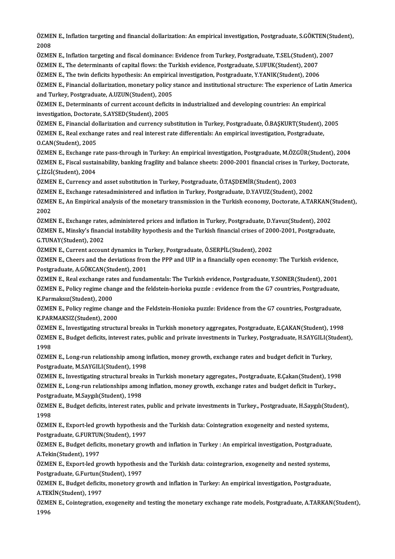ÖZMEN E., Inflation targeting and financial dollarization: An empirical investigation, Postgraduate, S.GÖKTEN(Student),<br>2008 **ÖZME<br>2008<br>ÖZME** ÖZMEN E., Inflation targeting and financial dollarization: An empirical investigation, Postgraduate, S.GÖKTEN(Student), 2007<br>2008<br>ÖZMEN E., Inflation targeting and fiscal dominance: Evidence from Turkey, Postgraduate, T.SE

2008<br>ÖZMEN E., Inflation targeting and fiscal dominance: Evidence from Turkey, Postgraduate, T.SEL(Student), 2007<br>ÖZMEN E., The determinants of capital flows: the Turkish evidence, Postgraduate, S.UFUK(Student), 2007 ÖZMEN E., Inflation targeting and fiscal dominance: Evidence from Turkey, Postgraduate, T.SEL(Student), 2<br>ÖZMEN E., The determinants of capital flows: the Turkish evidence, Postgraduate, S.UFUK(Student), 2007<br>ÖZMEN E., The

ÖZMEN E., The determinants of capital flows: the Turkish evidence, Postgraduate, S.UFUK(Student), 2007<br>ÖZMEN E., The twin deficits hypothesis: An empirical investigation, Postgraduate, Y.YANIK(Student), 2006<br>ÖZMEN E., Fina ÖZMEN E., The twin deficits hypothesis: An empirica<br>ÖZMEN E., Financial dollarization, monetary policy :<br>and Turkey, Postgraduate, A.UZUN(Student), 2005<br>ÖZMEN E. Determinante of current asseunt deficits ÖZMEN E., Financial dollarization, monetary policy stance and institutional structure: The experience of Latin<br>and Turkey, Postgraduate, A.UZUN(Student), 2005<br>ÖZMEN E., Determinants of current account deficits in industria

and Turkey, Postgraduate, A.UZUN(Student), 2005<br>ÖZMEN E., Determinants of current account deficits in industrialized and developing countries: An empirical<br>investigation, Doctorate, S.AYSED(Student), 2005 ÖZMEN E., Determinants of current account deficits in industrialized and developing countries: An empirical<br>investigation, Doctorate, S.AYSED(Student), 2005<br>ÖZMEN E., Financial dollarization and currency substitution in Tu

investigation, Doctorate, S.AYSED(Student), 2005<br>ÖZMEN E., Financial dollarization and currency substitution in Turkey, Postgraduate, Ö.BAŞKURT(Student),<br>ÖZMEN E., Real exchange rates and real interest rate differentials: ÖZMEN E., Financial do<br>ÖZMEN E., Real exchan<br>O.CAN(Student), 2005<br>ÖZMEN E. Exchange re ÖZMEN E., Real exchange rates and real interest rate differentials: An empirical investigation, Postgraduate,<br>O.CAN(Student), 2005<br>ÖZMEN E., Exchange rate pass-through in Turkey: An empirical investigation, Postgraduate, M

O.CAN(Student), 2005<br>ÖZMEN E., Exchange rate pass-through in Turkey: An empirical investigation, Postgraduate, M.ÖZGÜR(Student), 2004<br>ÖZMEN E., Fiscal sustainability, banking fragility and balance sheets: 2000-2001 financi ÖZMEN E., Exchange ra<br>ÖZMEN E., Fiscal sustai<br>Ç.İZGİ(Student), 2004<br>ÖZMEN E. Gurrongy ar ÖZMEN E., Fiscal sustainability, banking fragility and balance sheets: 2000-2001 financial crises in<br>C.İZGİ(Student), 2004<br>ÖZMEN E., Currency and asset substitution in Turkey, Postgraduate, Ö.TAŞDEMİR(Student), 2003<br>ÖZMEN Ç.İZGİ(Student), 2004<br>ÖZMEN E., Currency and asset substitution in Turkey, Postgraduate, Ö.TAŞDEMİR(Student), 2003<br>ÖZMEN E., Exchange ratesadministered and inflation in Turkey, Postgraduate, D.YAVUZ(Student), 2002<br>ÖZMEN E.

ÖZMEN E., Currency and asset substitution in Turkey, Postgraduate, Ö.TAŞDEMİR(Student), 2003<br>ÖZMEN E., Exchange ratesadministered and inflation in Turkey, Postgraduate, D.YAVUZ(Student), 2002<br>ÖZMEN E., An Empirical analysi ÖZME<br>ÖZME<br>2002<br>ÖZME ÖZMEN E., An Empirical analysis of the monetary transmission in the Turkish economy, Doctorate, A.TARKAN(1<br>2002<br>ÖZMEN E., Exchange rates, administered prices and inflation in Turkey, Postgraduate, D.Yavuz(Student), 2002<br>ÖZ

ÖZMEN E., Minsky's financial instability hypothesis and the Turkish financial crises of 2000-2001, Postgraduate,<br>G.TUNAY(Student), 2002 ÖZMEN E., Exchange rates<br>ÖZMEN E., Minsky's finance<br>G.TUNAY(Student), 2002<br>ÖZMEN E. Gurrent asseur ÖZMEN E., Minsky's financial instability hypothesis and the Turkish financial crises of 200<br>G.TUNAY(Student), 2002<br>ÖZMEN E., Current account dynamics in Turkey, Postgraduate, Ö.SERPİL(Student), 2002<br>ÖZMEN E., Current accou

G.TUNAY(Student), 2002<br>ÖZMEN E., Current account dynamics in Turkey, Postgraduate, Ö.SERPİL(Student), 2002<br>ÖZMEN E., Cheers and the deviations from the PPP and UIP in a financially open economy: The Turkish evidence, ÖZMEN E., Current account dynamics in T<br>ÖZMEN E., Cheers and the deviations fron<br>Postgraduate, A.GÖKCAN(Student), 2001<br>ÖZMEN E. Bool exchange rates and funde ÖZMEN E., Cheers and the deviations from the PPP and UIP in a financially open economy: The Turkish evidence,<br>Postgraduate, A.GÖKCAN(Student), 2001<br>ÖZMEN E., Real exchange rates and fundamentals: The Turkish evidence, Post

ÖZMEN E., Real exchange rates and fundamentals: The Turkish evidence, Postgraduate, Y.SONER(Student), 2001

Postgraduate, A.GÖKCAN(Student), 2001<br>ÖZMEN E., Real exchange rates and fundamentals: The Turkish evidence, Postgraduate, Y.SONER(Student), 2001<br>ÖZMEN E., Policy regime change and the feldstein-horioka puzzle : evidence fr ÖZMEN E., Policy regime change and the feldstein-horioka puzzle : evidence from the G7 countries, Postgraduate,<br>K.Parmaksız(Student), 2000<br>ÖZMEN E., Policy regime change and the Feldstein-Honioka puzzle: Evidence from the

K.Parmaksız(Student), 2000<br>ÖZMEN E., Policy regime chang<br>K.PARMAKSIZ(Student), 2000<br>ÖZMEN E. Investigating structi ÖZMEN E., Policy regime change and the Feldstein-Honioka puzzle: Evidence from the G7 countries, Postgraduate,<br>K.PARMAKSIZ(Student), 2000<br>ÖZMEN E., Investigating structural breaks in Turkish monetory aggregates, Postgradua

K.PARMAKSIZ(Student), 2000<br>ÖZMEN E., Investigating structural breaks in Turkish monetory aggregates, Postgraduate, E.ÇAKAN(Student), 1998<br>ÖZMEN E., Budget deficits, intevest rates, public and private investments in Turkey, ÖZME<br>ÖZME<br>1998<br>ÖZME ÖZMEN E., Budget deficits, intevest rates, public and private investments in Turkey, Postgraduate, H.SAYGILI(St<br>1998<br>ÖZMEN E., Long-run relationship among inflation, money growth, exchange rates and budget deficit in Turke

1998<br>ÖZMEN E., Long-run relationship among inflation, money growth, exchange rates and budget deficit in Turkey,<br>Postgraduate, M.SAYGILI(Student), 1998 ÖZMEN E., Long-run relationship among inflation, money growth, exchange rates and budget deficit in Turkey,<br>Postgraduate, M.SAYGILI(Student), 1998<br>ÖZMEN E., Investigating structural breaks in Turkish monetary aggregates.,

Postgraduate, M.SAYGILI(Student), 1998<br>ÖZMEN E., Investigating structural breaks in Turkish monetary aggregates., Postgraduate, E.Çakan(Student), 199<br>ÖZMEN E., Long-run relationships among inflation, money growth, exchange ÖZMEN E., Investigating structural breal<br>ÖZMEN E., Long-run relationships amon<br>Postgraduate, M.Saygılı(Student), 1998<br>ÖZMEN E. Budget deficits, interest rates ÖZMEN E., Long-run relationships among inflation, money growth, exchange rates and budget deficit in Turkey.,<br>Postgraduate, M.Saygılı(Student), 1998<br>ÖZMEN E., Budget deficits, interest rates, public and private investments

Postg<mark>i</mark><br>ÖZME<br>1998<br>ÖZME ÖZMEN E., Budget deficits, interest rates, public and private investments in Turkey., Postgraduate, H.Saygılı(St<br>1998<br>ÖZMEN E., Export-led growth hypothesis and the Turkish data: Cointegration exogeneity and nested systems

1998<br>ÖZMEN E., Export-led growth hypothesis<br>Postgraduate, G.FURTUN(Student), 1997<br>ÖZMEN E. Pudget defigits manetary grou ÖZMEN E., Export-led growth hypothesis and the Turkish data: Cointegration exogeneity and nested systems,<br>Postgraduate, G.FURTUN(Student), 1997<br>ÖZMEN E., Budget deficits, monetary growth and inflation in Turkey : An empiri

Postgraduate, G.FURTUN(Student), 1997<br>ÖZMEN E., Budget deficits, monetary grov<br>A.Tekin(Student), 1997 ÖZMEN E., Budget deficits, monetary growth and inflation in Turkey : An empirical investigation, Postgraduate,<br>A.Tekin(Student), 1997<br>ÖZMEN E., Export-led growth hypothesis and the Turkish data: cointegrarion, exogeneity a

ÖZMEN E., Export-led growth hypothesis and the Turkish data: cointegrarion, exogeneity and nested systems, ÖZMEN E., Export-led growth hypothesis and the Turkish data: cointegrarion, exogeneity and nested systems,<br>Postgraduate, G.Furtun(Student), 1997<br>ÖZMEN E., Budget deficits, monetory growth and inflation in Turkey: An empiri

Postgraduate, G.Furtun(S<br>ÖZMEN E., Budget deficit:<br>A.TEKİN(Student), 1997<br>ÖZMEN E. Cointegration

A.TEKİN(Student), 1997<br>ÖZMEN E., Cointegration, exogeneity and testing the monetary exchange rate models, Postgraduate, A.TARKAN(Student), 1996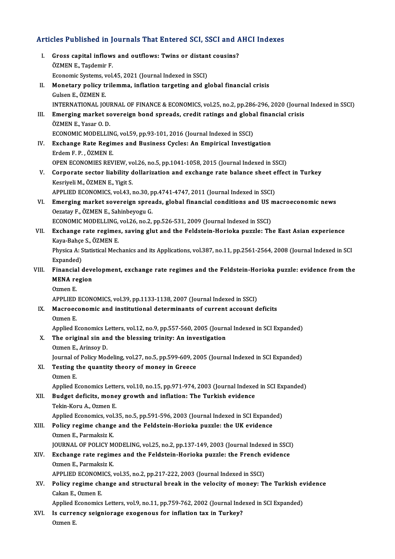# Articles Published in Journals That Entered SCI, SSCI and AHCI Indexes

| Articles Published in Journals That Entered SCI, SSCI and AHCI Indexes |                                                                                                                   |
|------------------------------------------------------------------------|-------------------------------------------------------------------------------------------------------------------|
| L.                                                                     | Gross capital inflows and outflows: Twins or distant cousins?<br>ÖZMEN E., Taşdemir F.                            |
|                                                                        | Economic Systems, vol.45, 2021 (Journal Indexed in SSCI)                                                          |
| П.                                                                     | Monetary policy trilemma, inflation targeting and global financial crisis                                         |
|                                                                        | Gulsen E, ÖZMEN E                                                                                                 |
|                                                                        | INTERNATIONAL JOURNAL OF FINANCE & ECONOMICS, vol.25, no.2, pp.286-296, 2020 (Journal Indexed in SSCI)            |
| Ш.                                                                     | Emerging market sovereign bond spreads, credit ratings and global financial crisis                                |
|                                                                        | ÖZMEN E., Yasar O.D.                                                                                              |
|                                                                        | ECONOMIC MODELLING, vol.59, pp.93-101, 2016 (Journal Indexed in SSCI)                                             |
| IV.                                                                    | Exchange Rate Regimes and Business Cycles: An Empirical Investigation                                             |
|                                                                        | Erdem F. P., ÖZMEN E.                                                                                             |
|                                                                        | OPEN ECONOMIES REVIEW, vol.26, no.5, pp.1041-1058, 2015 (Journal Indexed in SSCI)                                 |
| V.                                                                     | Corporate sector liability dollarization and exchange rate balance sheet effect in Turkey                         |
|                                                                        | Kesriyeli M., ÖZMEN E., Yigit S.                                                                                  |
|                                                                        | APPLIED ECONOMICS, vol.43, no.30, pp.4741-4747, 2011 (Journal Indexed in SSCI)                                    |
| VI.                                                                    | Emerging market sovereign spreads, global financial conditions and US macroeconomic news                          |
|                                                                        | Oezatay F., ÖZMEN E., Sahinbeyogu G.                                                                              |
|                                                                        | ECONOMIC MODELLING, vol.26, no.2, pp.526-531, 2009 (Journal Indexed in SSCI)                                      |
| VII.                                                                   | Exchange rate regimes, saving glut and the Feldstein-Horioka puzzle: The East Asian experience                    |
|                                                                        | Kaya-Bahçe S., ÖZMEN E.                                                                                           |
|                                                                        | Physica A: Statistical Mechanics and its Applications, vol.387, no.11, pp.2561-2564, 2008 (Journal Indexed in SCI |
|                                                                        | Expanded)                                                                                                         |
| VIII.                                                                  | Financial development, exchange rate regimes and the Feldstein-Horioka puzzle: evidence from the                  |
|                                                                        | <b>MENA</b> region                                                                                                |
|                                                                        | Ozmen E.                                                                                                          |
|                                                                        | APPLIED ECONOMICS, vol.39, pp.1133-1138, 2007 (Journal Indexed in SSCI)                                           |
| IX.                                                                    | Macroeconomic and institutional determinants of current account deficits                                          |
|                                                                        | Ozmen E.                                                                                                          |
|                                                                        | Applied Economics Letters, vol.12, no.9, pp.557-560, 2005 (Journal Indexed in SCI Expanded)                       |
| X.                                                                     | The original sin and the blessing trinity: An investigation<br>Ozmen E, Arinsoy D.                                |
|                                                                        | Journal of Policy Modeling, vol.27, no.5, pp.599-609, 2005 (Journal Indexed in SCI Expanded)                      |
| XI.                                                                    | Testing the quantity theory of money in Greece                                                                    |
|                                                                        | Ozmen E.                                                                                                          |
|                                                                        | Applied Economics Letters, vol.10, no.15, pp.971-974, 2003 (Journal Indexed in SCI Expanded)                      |
| XII.                                                                   | Budget deficits, money growth and inflation: The Turkish evidence                                                 |
|                                                                        | Tekin-Koru A., Ozmen E.                                                                                           |
|                                                                        | Applied Economics, vol.35, no.5, pp.591-596, 2003 (Journal Indexed in SCI Expanded)                               |
| XIII.                                                                  | Policy regime change and the Feldstein-Horioka puzzle: the UK evidence                                            |
|                                                                        | Ozmen E., Parmaksiz K.                                                                                            |
|                                                                        | JOURNAL OF POLICY MODELING, vol.25, no.2, pp.137-149, 2003 (Journal Indexed in SSCI)                              |
| XIV.                                                                   | Exchange rate regimes and the Feldstein-Horioka puzzle: the French evidence                                       |
|                                                                        | Ozmen E., Parmaksiz K.                                                                                            |
|                                                                        | APPLIED ECONOMICS, vol.35, no.2, pp.217-222, 2003 (Journal Indexed in SSCI)                                       |
| XV.                                                                    | Policy regime change and structural break in the velocity of money: The Turkish evidence                          |
|                                                                        | Cakan E., Ozmen E.                                                                                                |
|                                                                        | Applied Economics Letters, vol.9, no.11, pp.759-762, 2002 (Journal Indexed in SCI Expanded)                       |
| XVI.                                                                   | Is currency seigniorage exogenous for inflation tax in Turkey?                                                    |
|                                                                        | Ozmen E                                                                                                           |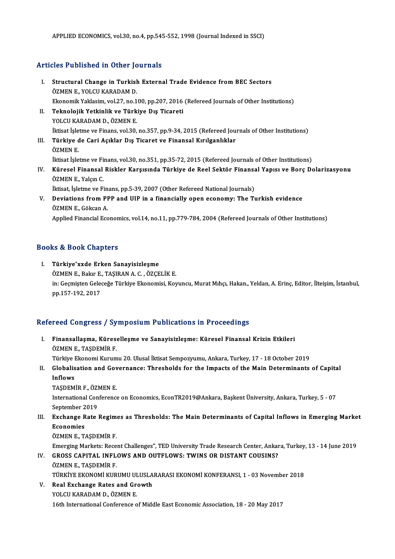## Articles Published in Other Journals

- rticles Published in Other Journals<br>I. Structural Change in Turkish External Trade Evidence from BEC Sectors<br>ÖZMEN E. VOLCU KARADAM D Structural Change in Turkish<br>ÖZMEN E., YOLCU KARADAM D.<br>Ekonomik Yokkosim vol 37, no 1 ÖZMEN E., YOLCU KARADAM D.<br>Ekonomik Yaklasim, vol.27, no.100, pp.207, 2016 (Refereed Journals of Other Institutions) ÖZMEN E., YOLCU KARADAM D.<br>Ekonomik Yaklasim, vol.27, no.100, pp.207, 2016<br>II. Teknolojik Yetkinlik ve Türkiye Dış Ticareti<br>VOLCU KARADAM D. ÖZMEN E
- Ekonomik Yaklasim, vol.27, no.1<br><mark>Teknolojik Yetkinlik ve Türk</mark><br>YOLCU KARADAM D., ÖZMEN E.<br><sup>İltisat İslatme ve Finans, vol.20</sup> YOLCU KARADAM D., ÖZMEN E.<br>İktisat İşletme ve Finans, vol.30, no.357, pp.9-34, 2015 (Refereed Journals of Other Institutions) YOLCU KARADAM D., ÖZMEN E.<br>İktisat İşletme ve Finans, vol.30, no.357, pp.9-34, 2015 (Refereed Jou<br>III. Türkiye de Cari Açıklar Dış Ticaret ve Finansal Kırılganlıklar<br>ÖZMEN E
- İktisat İşle<br>**Türkiye** d<br>ÖZMEN E.<br>İktisat İsla Türkiye de Cari Açıklar Dış Ticaret ve Finansal Kırılganlıklar<br>ÖZMEN E.<br>İktisat İşletme ve Finans, vol.30, no.351, pp.35-72, 2015 (Refereed Journals of Other Institutions)<br>Künasal Einansal Bisklar Karsısında Türkiye de Bas ÖZMEN E.<br>İktisat İşletme ve Finans, vol.30, no.351, pp.35-72, 2015 (Refereed Journals of Other Institutions)<br>IV. Küresel Finansal Riskler Karşısında Türkiye de Reel Sektör Finansal Yapısı ve Borç Dolarizasyonu<br>ÖZMEN E.
- İktisat İşletme ve Fi<br>Küresel Finansal<br>ÖZMEN E., Yalçın C.<br>İltisat, İslatma ve Fi Küresel Finansal Riskler Karşısında Türkiye de Reel Sektör Finansa<br>ÖZMEN E., Yalçın C.<br>İktisat, İşletme ve Finans, pp.5-39, 2007 (Other Refereed National Journals)<br>Doviations from PPP and HIP in a finansially anen asenemyy ÖZMEN E., Yalçın C.<br>İktisat, İşletme ve Finans, pp.5-39, 2007 (Other Refereed National Journals)<br>V. Deviations from PPP and UIP in a financially open economy: The Turkish evidence<br>ÖZMEN E. Cökenn A
	-
- İktisat, İşletme ve Fin<br>Deviations from PI<br>ÖZMEN E., Gökcan A.<br>Annlied Einengial Ess ÖZMEN E., Gökcan A.<br>Applied Financial Economics, vol.14, no.11, pp.779-784, 2004 (Refereed Journals of Other Institutions)

#### Books&Book Chapters

I. Türkiye'xxde Erken Sanayisizleşme ÖZMEN E., Bakır E., TAŞIRAN A. C., ÖZÇELİK E. in: Geçmişten Geleceğe Türkiye Ekonomisi, Koyuncu, Murat Mıhçı, Hakan., Yeldan, A. Erinç, Editor, İlteişim, İstanbul, pp.157-192,2017

#### Refereed Congress / Symposium Publications in Proceedings

efereed Congress / Symposium Publications in Proceedings<br>I. Finansallaşma, Küreselleşme ve Sanayisizleşme: Küresel Finansal Krizin Etkileri<br>ÖZMEN E. TASDEMİR E Teca Gengress 7 sy<br>Finansallaşma, Küres<br>ÖZMEN E., TAŞDEMİR F.<br>Türkiye Ekonomi Kurum Finansallaşma, Küreselleşme ve Sanayisizleşme: Küresel Finansal Krizin Etkileri<br>ÖZMEN E., TAŞDEMİR F.<br>Türkiye Ekonomi Kurumu 20. Ulusal İktisat Sempozyumu, Ankara, Turkey, 17 - 18 October 2019<br>Clabalisation and Covernanse:

## ÖZMEN E., TAŞDEMİR F.<br>Türkiye Ekonomi Kurumu 20. Ulusal İktisat Sempozyumu, Ankara, Turkey, 17 - 18 October 2019<br>II. Globalisation and Governance: Thresholds for the Impacts of the Main Determinants of Capital<br>Inflows Türkiye I<br><mark>Globalis</mark><br>Inflows<br>TASDEM Globalisation and Gov<br>Inflows<br>TAŞDEMİR F., ÖZMEN E.<br>International Conference

International Conference on Economics, EconTR2019@Ankara, Başkent Üniversity, Ankara, Turkey, 5 - 07<br>September 2019 TAŞDEMİR F., ÖZI<br>International Con<br>September 2019<br>Exchange Pata International Conference on Economics, EconTR2019@Ankara, Başkent Üniversity, Ankara, Turkey, 5 - 07<br>September 2019<br>III. Exchange Rate Regimes as Thresholds: The Main Determinants of Capital Inflows in Emerging Market<br>Feon

# September 2<br><mark>Exchange R</mark><br>Economies<br>ÖZMEN E T Exchange Rate Regime<br>Economies<br>ÖZMEN E., TAŞDEMİR F.<br>Emerging Markata: Bege Economies<br>ÖZMEN E., TAŞDEMİR F.<br>Emerging Markets: Recent Challenges", TED University Trade Research Center, Ankara, Turkey, 13 - 14 June 2019<br>CROSS CARITAL INELOWS AND OUTELOWS: TWINS OR DISTANT COUSINS?

- ÖZMEN E., TAŞDEMİR F.<br>Emerging Markets: Recent Challenges", TED University Trade Research Center, Ankar<br>IV. GROSS CAPITAL INFLOWS AND OUTFLOWS: TWINS OR DISTANT COUSINS?<br>ÖZMEN E. TASDEMİR E. Emerging Markets: Rece:<br>GROSS CAPITAL INFL<br>ÖZMEN E., TAŞDEMİR F.<br>TÜRKİVE EKONOMİ KUR IV. GROSS CAPITAL INFLOWS AND OUTFLOWS: TWINS OR DISTANT COUSINS?<br>ÖZMEN E., TAŞDEMİR F.<br>TÜRKİYE EKONOMİ KURUMU ULUSLARARASI EKONOMİ KONFERANSI, 1 - 03 November 2018
- V. Real Exchange Rates and Growth YOLCU KARADAM D., ÖZMEN E. 16th International Conference of Middle East Economic Association, 18 - 20 May 2017